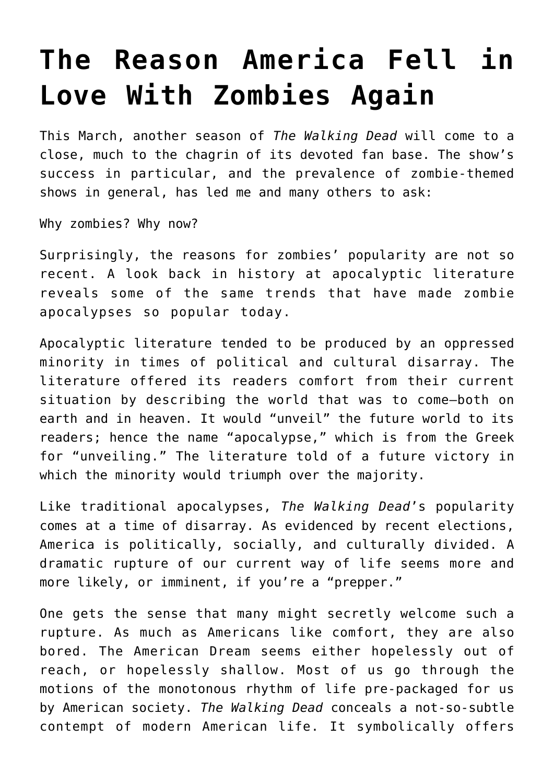## **[The Reason America Fell in](https://intellectualtakeout.org/2016/09/the-reason-america-fell-in-love-with-zombies-again/) [Love With Zombies Again](https://intellectualtakeout.org/2016/09/the-reason-america-fell-in-love-with-zombies-again/)**

This March, another season of *The Walking Dead* will come to a close, much to the chagrin of its devoted fan base. The show's success in particular, and the prevalence of zombie-themed shows in general, has led me and many others to ask:

Why zombies? Why now?

Surprisingly, the reasons for zombies' popularity are not so recent. A look back in history at apocalyptic literature reveals some of the same trends that have made zombie apocalypses so popular today.

Apocalyptic literature tended to be produced by an oppressed minority in times of political and cultural disarray. The literature offered its readers comfort from their current situation by describing the world that was to come—both on earth and in heaven. It would "unveil" the future world to its readers; hence the name "apocalypse," which is from the Greek for "unveiling." The literature told of a future victory in which the minority would triumph over the majority.

Like traditional apocalypses, *The Walking Dead*'s popularity comes at a time of disarray. As evidenced by recent elections, America is politically, socially, and culturally divided. A dramatic rupture of our current way of life seems more and more likely, or imminent, if you're a "prepper."

One gets the sense that many might secretly welcome such a rupture. As much as Americans like comfort, they are also bored. The American Dream seems either hopelessly out of reach, or hopelessly shallow. Most of us go through the motions of the monotonous rhythm of life pre-packaged for us by American society. *The Walking Dead* conceals a not-so-subtle contempt of modern American life. It symbolically offers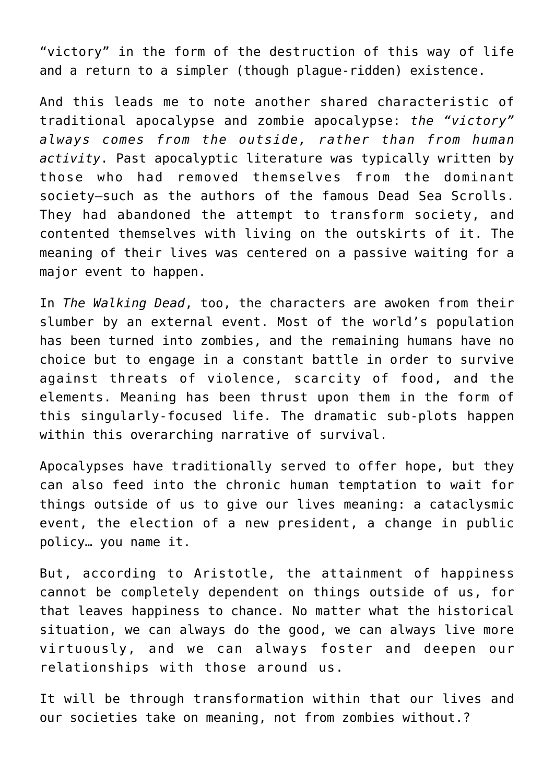"victory" in the form of the destruction of this way of life and a return to a simpler (though plague-ridden) existence.

And this leads me to note another shared characteristic of traditional apocalypse and zombie apocalypse: *the "victory" always comes from the outside, rather than from human activity*. Past apocalyptic literature was typically written by those who had removed themselves from the dominant society—such as the authors of the famous Dead Sea Scrolls. They had abandoned the attempt to transform society, and contented themselves with living on the outskirts of it. The meaning of their lives was centered on a passive waiting for a major event to happen.

In *The Walking Dead*, too, the characters are awoken from their slumber by an external event. Most of the world's population has been turned into zombies, and the remaining humans have no choice but to engage in a constant battle in order to survive against threats of violence, scarcity of food, and the elements. Meaning has been thrust upon them in the form of this singularly-focused life. The dramatic sub-plots happen within this overarching narrative of survival.

Apocalypses have traditionally served to offer hope, but they can also feed into the chronic human temptation to wait for things outside of us to give our lives meaning: a cataclysmic event, the election of a new president, a change in public policy… you name it.

But, according to Aristotle, the attainment of happiness cannot be completely dependent on things outside of us, for that leaves happiness to chance. No matter what the historical situation, we can always do the good, we can always live more virtuously, and we can always foster and deepen our relationships with those around us.

It will be through transformation within that our lives and our societies take on meaning, not from zombies without.?